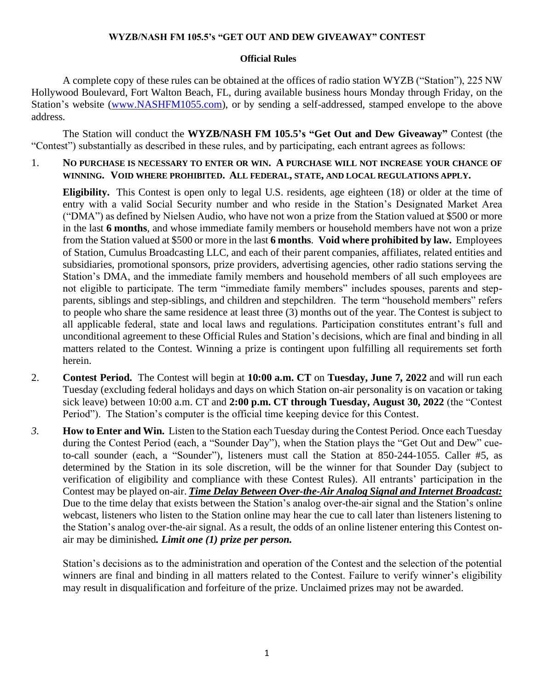## **WYZB/NASH FM 105.5's "GET OUT AND DEW GIVEAWAY" CONTEST**

## **Official Rules**

A complete copy of these rules can be obtained at the offices of radio station WYZB ("Station"), 225 NW Hollywood Boulevard, Fort Walton Beach, FL, during available business hours Monday through Friday, on the Station's website [\(www.NASHFM1055.com\)](http://www.nashfm1055.com/), or by sending a self-addressed, stamped envelope to the above address.

The Station will conduct the **WYZB/NASH FM 105.5's "Get Out and Dew Giveaway"** Contest (the "Contest") substantially as described in these rules, and by participating, each entrant agrees as follows:

1. **NO PURCHASE IS NECESSARY TO ENTER OR WIN. A PURCHASE WILL NOT INCREASE YOUR CHANCE OF WINNING. VOID WHERE PROHIBITED. ALL FEDERAL, STATE, AND LOCAL REGULATIONS APPLY.**

**Eligibility.** This Contest is open only to legal U.S. residents, age eighteen (18) or older at the time of entry with a valid Social Security number and who reside in the Station's Designated Market Area ("DMA") as defined by Nielsen Audio, who have not won a prize from the Station valued at \$500 or more in the last **6 months**, and whose immediate family members or household members have not won a prize from the Station valued at \$500 or more in the last **6 months**. **Void where prohibited by law.** Employees of Station, Cumulus Broadcasting LLC, and each of their parent companies, affiliates, related entities and subsidiaries, promotional sponsors, prize providers, advertising agencies, other radio stations serving the Station's DMA, and the immediate family members and household members of all such employees are not eligible to participate. The term "immediate family members" includes spouses, parents and stepparents, siblings and step-siblings, and children and stepchildren. The term "household members" refers to people who share the same residence at least three (3) months out of the year. The Contest is subject to all applicable federal, state and local laws and regulations. Participation constitutes entrant's full and unconditional agreement to these Official Rules and Station's decisions, which are final and binding in all matters related to the Contest. Winning a prize is contingent upon fulfilling all requirements set forth herein.

- 2. **Contest Period.** The Contest will begin at **10:00 a.m. CT** on **Tuesday, June 7, 2022** and will run each Tuesday (excluding federal holidays and days on which Station on-air personality is on vacation or taking sick leave) between 10:00 a.m. CT and **2:00 p.m. CT through Tuesday, August 30, 2022** (the "Contest Period"). The Station's computer is the official time keeping device for this Contest.
- *3.* **How to Enter and Win.** Listen to the Station each Tuesday during the Contest Period. Once each Tuesday during the Contest Period (each, a "Sounder Day"), when the Station plays the "Get Out and Dew" cueto-call sounder (each, a "Sounder"), listeners must call the Station at 850-244-1055. Caller #5, as determined by the Station in its sole discretion, will be the winner for that Sounder Day (subject to verification of eligibility and compliance with these Contest Rules). All entrants' participation in the Contest may be played on-air. *Time Delay Between Over-the-Air Analog Signal and Internet Broadcast:* Due to the time delay that exists between the Station's analog over-the-air signal and the Station's online webcast, listeners who listen to the Station online may hear the cue to call later than listeners listening to the Station's analog over-the-air signal. As a result, the odds of an online listener entering this Contest onair may be diminished*. Limit one (1) prize per person.*

Station's decisions as to the administration and operation of the Contest and the selection of the potential winners are final and binding in all matters related to the Contest. Failure to verify winner's eligibility may result in disqualification and forfeiture of the prize. Unclaimed prizes may not be awarded.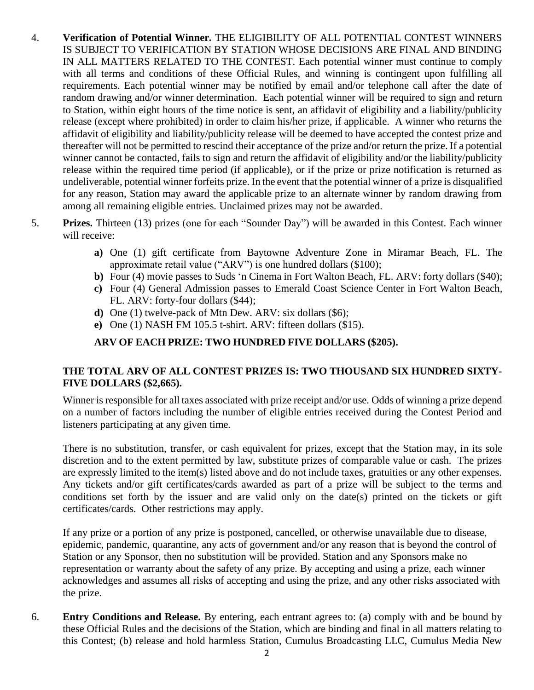- 4. **Verification of Potential Winner.** THE ELIGIBILITY OF ALL POTENTIAL CONTEST WINNERS IS SUBJECT TO VERIFICATION BY STATION WHOSE DECISIONS ARE FINAL AND BINDING IN ALL MATTERS RELATED TO THE CONTEST. Each potential winner must continue to comply with all terms and conditions of these Official Rules, and winning is contingent upon fulfilling all requirements. Each potential winner may be notified by email and/or telephone call after the date of random drawing and/or winner determination. Each potential winner will be required to sign and return to Station, within eight hours of the time notice is sent, an affidavit of eligibility and a liability/publicity release (except where prohibited) in order to claim his/her prize, if applicable. A winner who returns the affidavit of eligibility and liability/publicity release will be deemed to have accepted the contest prize and thereafter will not be permitted to rescind their acceptance of the prize and/or return the prize. If a potential winner cannot be contacted, fails to sign and return the affidavit of eligibility and/or the liability/publicity release within the required time period (if applicable), or if the prize or prize notification is returned as undeliverable, potential winner forfeits prize. In the event that the potential winner of a prize is disqualified for any reason, Station may award the applicable prize to an alternate winner by random drawing from among all remaining eligible entries. Unclaimed prizes may not be awarded.
- 5. **Prizes.** Thirteen (13) prizes (one for each "Sounder Day") will be awarded in this Contest. Each winner will receive:
	- **a)** One (1) gift certificate from Baytowne Adventure Zone in Miramar Beach, FL. The approximate retail value ("ARV") is one hundred dollars (\$100);
	- **b)** Four (4) movie passes to Suds 'n Cinema in Fort Walton Beach, FL. ARV: forty dollars (\$40);
	- **c)** Four (4) General Admission passes to Emerald Coast Science Center in Fort Walton Beach, FL. ARV: forty-four dollars (\$44);
	- **d)** One (1) twelve-pack of Mtn Dew. ARV: six dollars (\$6);
	- **e)** One (1) NASH FM 105.5 t-shirt. ARV: fifteen dollars (\$15).

## **ARV OF EACH PRIZE: TWO HUNDRED FIVE DOLLARS (\$205).**

## **THE TOTAL ARV OF ALL CONTEST PRIZES IS: TWO THOUSAND SIX HUNDRED SIXTY-FIVE DOLLARS (\$2,665).**

Winner is responsible for all taxes associated with prize receipt and/or use. Odds of winning a prize depend on a number of factors including the number of eligible entries received during the Contest Period and listeners participating at any given time.

There is no substitution, transfer, or cash equivalent for prizes, except that the Station may, in its sole discretion and to the extent permitted by law, substitute prizes of comparable value or cash. The prizes are expressly limited to the item(s) listed above and do not include taxes, gratuities or any other expenses. Any tickets and/or gift certificates/cards awarded as part of a prize will be subject to the terms and conditions set forth by the issuer and are valid only on the date(s) printed on the tickets or gift certificates/cards. Other restrictions may apply.

If any prize or a portion of any prize is postponed, cancelled, or otherwise unavailable due to disease, epidemic, pandemic, quarantine, any acts of government and/or any reason that is beyond the control of Station or any Sponsor, then no substitution will be provided. Station and any Sponsors make no representation or warranty about the safety of any prize. By accepting and using a prize, each winner acknowledges and assumes all risks of accepting and using the prize, and any other risks associated with the prize.

6. **Entry Conditions and Release.** By entering, each entrant agrees to: (a) comply with and be bound by these Official Rules and the decisions of the Station, which are binding and final in all matters relating to this Contest; (b) release and hold harmless Station, Cumulus Broadcasting LLC, Cumulus Media New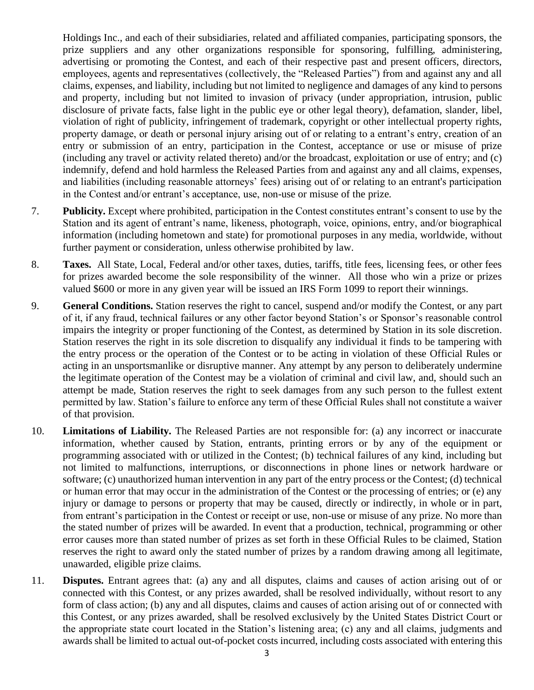Holdings Inc., and each of their subsidiaries, related and affiliated companies, participating sponsors, the prize suppliers and any other organizations responsible for sponsoring, fulfilling, administering, advertising or promoting the Contest, and each of their respective past and present officers, directors, employees, agents and representatives (collectively, the "Released Parties") from and against any and all claims, expenses, and liability, including but not limited to negligence and damages of any kind to persons and property, including but not limited to invasion of privacy (under appropriation, intrusion, public disclosure of private facts, false light in the public eye or other legal theory), defamation, slander, libel, violation of right of publicity, infringement of trademark, copyright or other intellectual property rights, property damage, or death or personal injury arising out of or relating to a entrant's entry, creation of an entry or submission of an entry, participation in the Contest, acceptance or use or misuse of prize (including any travel or activity related thereto) and/or the broadcast, exploitation or use of entry; and (c) indemnify, defend and hold harmless the Released Parties from and against any and all claims, expenses, and liabilities (including reasonable attorneys' fees) arising out of or relating to an entrant's participation in the Contest and/or entrant's acceptance, use, non-use or misuse of the prize.

- 7. **Publicity.** Except where prohibited, participation in the Contest constitutes entrant's consent to use by the Station and its agent of entrant's name, likeness, photograph, voice, opinions, entry, and/or biographical information (including hometown and state) for promotional purposes in any media, worldwide, without further payment or consideration, unless otherwise prohibited by law.
- 8. **Taxes.** All State, Local, Federal and/or other taxes, duties, tariffs, title fees, licensing fees, or other fees for prizes awarded become the sole responsibility of the winner. All those who win a prize or prizes valued \$600 or more in any given year will be issued an IRS Form 1099 to report their winnings.
- 9. **General Conditions.** Station reserves the right to cancel, suspend and/or modify the Contest, or any part of it, if any fraud, technical failures or any other factor beyond Station's or Sponsor's reasonable control impairs the integrity or proper functioning of the Contest, as determined by Station in its sole discretion. Station reserves the right in its sole discretion to disqualify any individual it finds to be tampering with the entry process or the operation of the Contest or to be acting in violation of these Official Rules or acting in an unsportsmanlike or disruptive manner. Any attempt by any person to deliberately undermine the legitimate operation of the Contest may be a violation of criminal and civil law, and, should such an attempt be made, Station reserves the right to seek damages from any such person to the fullest extent permitted by law. Station's failure to enforce any term of these Official Rules shall not constitute a waiver of that provision.
- 10. **Limitations of Liability.** The Released Parties are not responsible for: (a) any incorrect or inaccurate information, whether caused by Station, entrants, printing errors or by any of the equipment or programming associated with or utilized in the Contest; (b) technical failures of any kind, including but not limited to malfunctions, interruptions, or disconnections in phone lines or network hardware or software; (c) unauthorized human intervention in any part of the entry process or the Contest; (d) technical or human error that may occur in the administration of the Contest or the processing of entries; or (e) any injury or damage to persons or property that may be caused, directly or indirectly, in whole or in part, from entrant's participation in the Contest or receipt or use, non-use or misuse of any prize. No more than the stated number of prizes will be awarded. In event that a production, technical, programming or other error causes more than stated number of prizes as set forth in these Official Rules to be claimed, Station reserves the right to award only the stated number of prizes by a random drawing among all legitimate, unawarded, eligible prize claims.
- 11. **Disputes.** Entrant agrees that: (a) any and all disputes, claims and causes of action arising out of or connected with this Contest, or any prizes awarded, shall be resolved individually, without resort to any form of class action; (b) any and all disputes, claims and causes of action arising out of or connected with this Contest, or any prizes awarded, shall be resolved exclusively by the United States District Court or the appropriate state court located in the Station's listening area; (c) any and all claims, judgments and awards shall be limited to actual out-of-pocket costs incurred, including costs associated with entering this